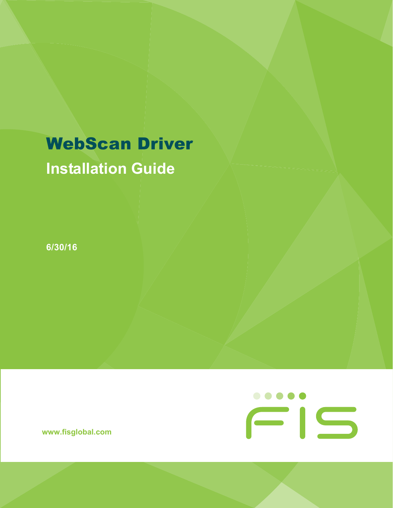## WebScan Driver **Installation Guide**

**6/30/16**

ËİS

**www.fisglobal.com**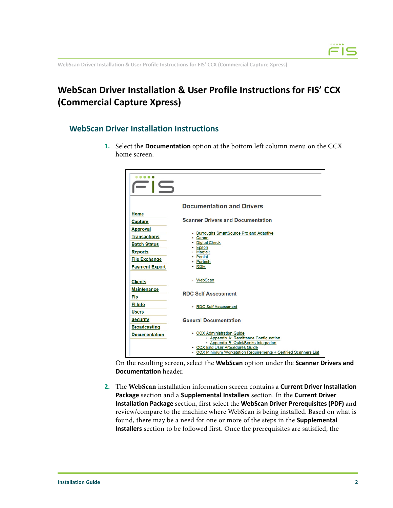

## **WebScan Driver Installation & User Profile Instructions for FIS' CCX (Commercial Capture Xpress)**

## **WebScan Driver Installation Instructions**

**1.** Select the **Documentation** option at the bottom left column menu on the CCX home screen.

|                       | <b>Documentation and Drivers</b>                                                                                                            |
|-----------------------|---------------------------------------------------------------------------------------------------------------------------------------------|
| Home                  |                                                                                                                                             |
| <b>Capture</b>        | <b>Scanner Drivers and Documentation</b>                                                                                                    |
| <b>Approval</b>       |                                                                                                                                             |
| <b>Transactions</b>   | <b>Burroughs SmartSource Pro and Adaptive</b><br>• Canon                                                                                    |
| <b>Batch Status</b>   | <b>Digital Check</b><br>Epson                                                                                                               |
| <b>Reports</b>        | Magtek                                                                                                                                      |
| <b>File Exchange</b>  | Panini<br>Pertech                                                                                                                           |
| <b>Payment Export</b> | $\cdot$ RDM                                                                                                                                 |
| <b>Clients</b>        | WebScan                                                                                                                                     |
| <b>Maintenance</b>    | <b>RDC Self Assessment</b>                                                                                                                  |
| Fis                   |                                                                                                                                             |
| FI Info               | • RDC Self Assessment                                                                                                                       |
| <b>Users</b>          |                                                                                                                                             |
| <b>Security</b>       | <b>General Documentation</b>                                                                                                                |
| <b>Broadcasting</b>   |                                                                                                                                             |
| <b>Documentation</b>  | • CCX Administration Guide<br>• Appendix A: Remittance Configuration                                                                        |
|                       | · Appendix B: QuickBooks Integration<br>• CCX End User Procedures Guide<br>• CCX Minimum Workstation Requirements + Certified Scanners List |

On the resulting screen, select the **WebScan** option under the **Scanner Drivers and Documentation** header.

**2.** The **WebScan** installation information screen contains a **Current Driver Installation Package** section and a **Supplemental Installers** section. In the **Current Driver Installation Package** section, first select the **WebScan Driver Prerequisites (PDF)** and review/compare to the machine where WebScan is being installed. Based on what is found, there may be a need for one or more of the steps in the **Supplemental Installers** section to be followed first. Once the prerequisites are satisfied, the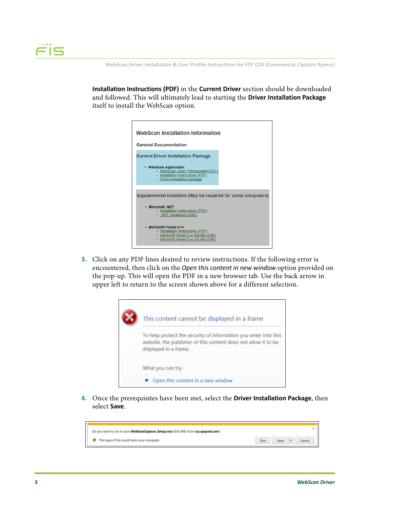

**Installation Instructions (PDF)** in the **Current Driver** section should be downloaded and followed. This will ultimately lead to starting the **Driver Installation Package** itself to install the WebScan option.

| <b>WebScan Installation Information</b>                                                                                                     |  |
|---------------------------------------------------------------------------------------------------------------------------------------------|--|
| <b>General Documentation</b>                                                                                                                |  |
| <b>Current Driver Installation Package</b>                                                                                                  |  |
| • WebScan Application<br>• WebScan Driver Prerequisites (PDF)<br>· Installation Instructions (PDF)<br>• Driver Installation package         |  |
| Supplemental Installers (May be required for some computers)                                                                                |  |
| • Microsoft .NET<br>• Installation Instructions (PDF)<br>- NET Installation (EXE)                                                           |  |
| • Microsoft Visual C++<br>· Installation Instructions (PDF)<br>• Microsoft Visual C++ (64-bit) (EXE)<br>Microsoft Visual C++ (32-bit) (EXE) |  |

**3.** Click on any PDF lines desired to review instructions. If the following error is encountered, then click on the *Open this content in new window* option provided on the pop-up. This will open the PDF in a new browser tab. Use the back arrow in upper left to return to the screen shown above for a different selection.



**4.** Once the prerequisites have been met, select the **Driver Installation Package**, then select **Save**.

| Do you want to run or save WebScanCapture_Setup.msi (6.43 MB) from ccx.epaysol.com? |     |      |  |        |
|-------------------------------------------------------------------------------------|-----|------|--|--------|
| This type of file could harm your computer.                                         | Run | save |  | Cancel |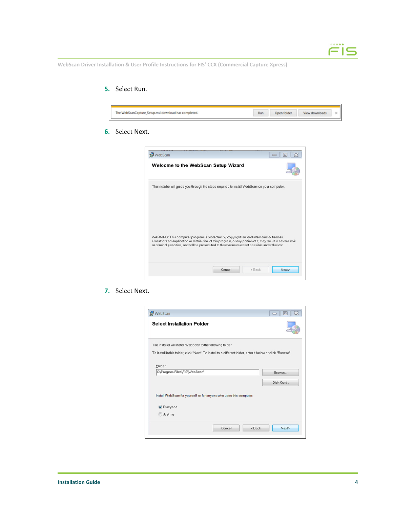

**5.** Select Run.



**6.** Select Next.



**7.** Select Next.

| <b>Select Installation Folder</b>                                                                            |           |
|--------------------------------------------------------------------------------------------------------------|-----------|
| The installer will install WebScan to the following folder.                                                  |           |
| To install in this folder, click "Next". To install to a different folder, enter it below or click "Browse". |           |
| Folder:                                                                                                      |           |
| C:\Program Files\FIS\WebScan\                                                                                | Browse    |
|                                                                                                              | Disk Cost |
|                                                                                                              |           |
| Install WebScan for yourself, or for anyone who uses this computer.                                          |           |
| C Everyone                                                                                                   |           |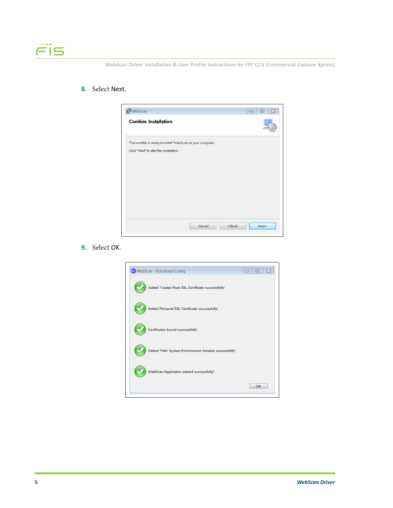

**8.** Select Next.

| <b>WebScan</b>                          |                                                             | o<br>ΣŚ<br>$\qquad \qquad \qquad =$ |
|-----------------------------------------|-------------------------------------------------------------|-------------------------------------|
| <b>Confirm Installation</b>             |                                                             |                                     |
|                                         | The installer is ready to install WebScan on your computer. |                                     |
| Click "Next" to start the installation. |                                                             |                                     |
|                                         |                                                             |                                     |
|                                         |                                                             |                                     |
|                                         |                                                             |                                     |
|                                         |                                                             |                                     |
|                                         |                                                             |                                     |
|                                         |                                                             |                                     |
|                                         |                                                             |                                     |
|                                         | Cancel                                                      | <back<br>Next &gt;</back<br>        |

**9.** Select OK.

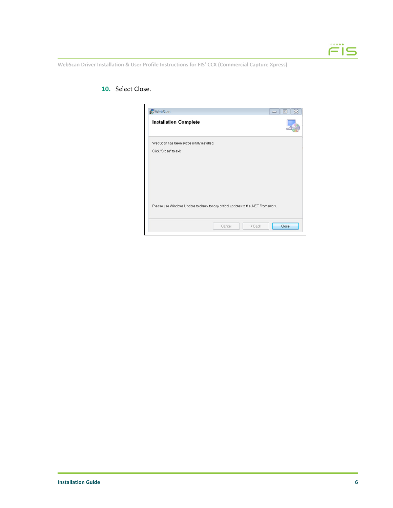

**10.** Select Close.

| <b>WebScan</b>                                                                     |        | $\qquad \qquad \Box$<br>□ |
|------------------------------------------------------------------------------------|--------|---------------------------|
| <b>Installation Complete</b>                                                       |        |                           |
| WebScan has been successfully installed.                                           |        |                           |
| Click "Close" to exit.                                                             |        |                           |
|                                                                                    |        |                           |
|                                                                                    |        |                           |
|                                                                                    |        |                           |
|                                                                                    |        |                           |
|                                                                                    |        |                           |
|                                                                                    |        |                           |
| Please use Windows Update to check for any critical updates to the .NET Framework. |        |                           |
|                                                                                    |        |                           |
|                                                                                    | Cancel | <back<br>Close</back<br>  |